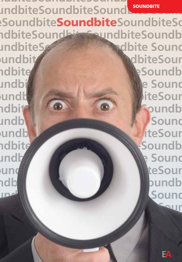**SoundbiteSoundbiteSoundbites undbiteSoundbiteSoundbite nbiteSoundbite**Soundbite**SoundbiteSo SoundbiteSoundbiteSoundbiteSoundbi teSoundbiteSoundbiteSoundbite Sound** undbite **Soundbite undbitten and the Soundbite Soundbite Sound biteSoundbite**Soundbite**SoundbiteSoun Soundbites Contract on the Soundbites of Soundbites undbitted bites on the Soundbite Sound** andbite **Soundb** and bites of the Sound bites of the Sound  **biteSoundbite**Soundbite**SoundbiteSoun** adbites and soundbites of the soundbites of the soundbites of the soundbites of the soundbites of the soundbites **the Sound bites of the Sound Sound Sound 3 biteSoundbite Soundbite SoundbiteSoundbite** 

EA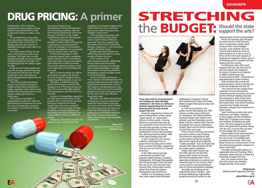## DRUG PRICING: **A primer**

**In** November, Tufts University published its latest analysis of drug research and claimed that it costs roughly \$2.5 billion to make a new drug.

The average time a drug takes from discovery to laboratory testing and clinical trials, is more than a decade, and the vast majority of targeted chemicals never make it to the market.

The Tufts analysis allows for the costs of the failures as well as the successes. The figure was roundly attacked by health and anti-capitalist activists as being far too high, and in Washington DC the debate raged for days.

Drugs are not unique goods, but they are unusual, and the way they are produced and the costs of that production mean that there are always disagreements about how to price drugs.

The pricing of pharmaceutical drugs is not a simple function of supply and demand: production is highly regulated, which affects costs greatly; and ensuring access to some drugs is widely perceived as a moral issue.

Prices need to be higher in industrialised countries in order for pharmaceutical companies to recoup the costs of production, as well as to provide an incentive for further innovation.

The costs of research and development must be shared across the myriad drug markets, with the richer paying significantly more than the poor, and those in the middle contributing more than the poorest

The goal of distinguishing between markets when setting prices is ultimately to reconcile patents – which are necessary for innovation – with the affordability and accessibility of these drugs in poor countries.

In technical language, in order to recoup research costs, companies need to charge more in countries in which demand is more price inelastic and charge less in other countries. The various markets, however, need to be kept apart or the strategy will not work.

While it costs hundreds of millions of pounds to produce the first pill of a new drug, the marginal cost of producing additional pills is very low. Therefore, a traditional pricing

system that charges consumers the marginal cost of the drug would not take into account the high research and development costs that the firm incurred.

A system of competition regulation (or other government action under pressure from activists) that imposed pricing at marginal cost would simply mean that there would be no research and the supply of drugs would dry up. These problems are best dealt with when producers can charge different prices to different people.

Simply put, those who are able and willing to pay more (normally the

54

wealthier) are charged a higher price, while those who can or will only pay less (normally the poorer) are charged a lower price.

If this strategy is successful, and those receiving the lower prices cannot resell to those willing to pay more, then the company will get higher profits than it would by setting a single price – and more poor people will receive drugs.

Studies show that this form of differential pricing leads to a more socially efficient outcome.

In the context of the pharmaceutical market, differential pricing allows pharmaceutical companies to produce more drugs than would be possible in a singleprice system, thus giving patients in developing countries greater access to life-saving drugs.

Profits incentivise and finance more research and development. The pricing model ensures that middle- to high-income countries bear most of the research and development costs, while affording low-income countries greater access than otherwise would be the case to the safe, effective drugs they need.

However, such differential pricing of drugs has numerous opponents. Americans often believe they pay too much; and many health activists are still annoyed that the poor pay more than the marginal cost of production for HIV/AIDS medicines. But, both in theory and practice, differential pricing is both equitable and efficient.

> **Roger Bate** American Enterprise Institute *rbate@aei.org*





**Those who wish to cut government arts funding are often branded "philistines". But there is a difference between appreciating the arts and believing that the state should support the arts.**

Economic arguments in favour of state funding often revolve round "public good" or "externality" effects. In other words, it may be difficult to exclude those who do not contribute to the arts from the benefits they provide; or there may be social benefits from the arts leading them to be under-provided. But, did the arts thrive before 1946 when state funding took off?

In fact, England's rich cultural tradition developed free of government funding and it often had a commercial edge, suggesting that the arts can thrive in a market economy.

In the 16th century we had commercially successful and popular English theatre, including Shakespeare. Although Shakespeare had the patronage of the monarch, this was much more like the royal warrant that a shop might receive rather than financial support. Shakespeare was commercial.

Indeed, it is interesting to note that, even today, whilst the Royal Shakespeare Company is 50 per cent funded by the state, the Globe theatre stages Shakespeare plays with no subsidy.

In 17th century Britain, the public concert developed and 18th century London was a hothouse of composers. The Hallé Orchestra, the Royal Albert Hall, Gilbert and Sullivan, and the Fitzwilliam are all great cultural creations from the era of subsidy-free culture. Elsewhere, Chopin, Bach and the Dutch masters all paid their own way.

There can be a thriving commercial arts scene without state funding. The economic arguments at best can be used to justify the position that certain types of arts might be "under-provided". But we should also consider that state provision of the arts might lead to problems.

Firstly, with state finance, we will often get the arts that the government wants and not the arts that the people want. This is especially problematic as culture is an important part of civil society which can be used for communicating all sorts of moral and political messages.

Secondly, arts funding can be captured by other interests – such as those leading big, high-profile projects centred on London or the

administrators of the funding bodies. Much arts funding goes through the Arts Council. It has slimmed down its operation under much pressure from recent budget cuts but, until recently, the Arts Council spent about as much on administration as it did on arts in three of the nine main regions of England put together. 50 per cent of all funding went to London and the regions got the crumbs.

Furthermore, even after much resisted staff cuts, the Arts Council will have nearly one employee for every £1m given out in grants; in 2008 it had 50 press and communications staff – effectively all paid advocates of state funding. State funding also crowds out

private funding, which is pitifully low in the UK compared with the US.

The removal of user charges from museums not only removed an important source of revenue, but also has the effect of making museums less interested in their visitors and more interested in the bureaucracy that funds them. Few other European countries have totally removed admission charges from museums for good reason.

State funding can also raise costs. Performers are highly "inelastic" in their supply, just like footballers. When Sky TV pumps more money into football, footballers are paid more. The same happens to artists when the government pumps money into the arts: it can be the cost and not the supply that increases.

What might be the best solution? If there is to be state support for the arts at all, it is probably best provided at local level. This is less likely to lead to a monoculture in the arts and ensures greater variation in what is provided.

Secondly, perhaps the lottery is a reasonable source of funding. This is voluntary: those who buy a ticket are choosing to support the arts.

But, our history shows that arts and culture can develop independently of the state•

> **Philip Booth** Editorial and Programme Director IEA *pbooth@iea.org.uk*